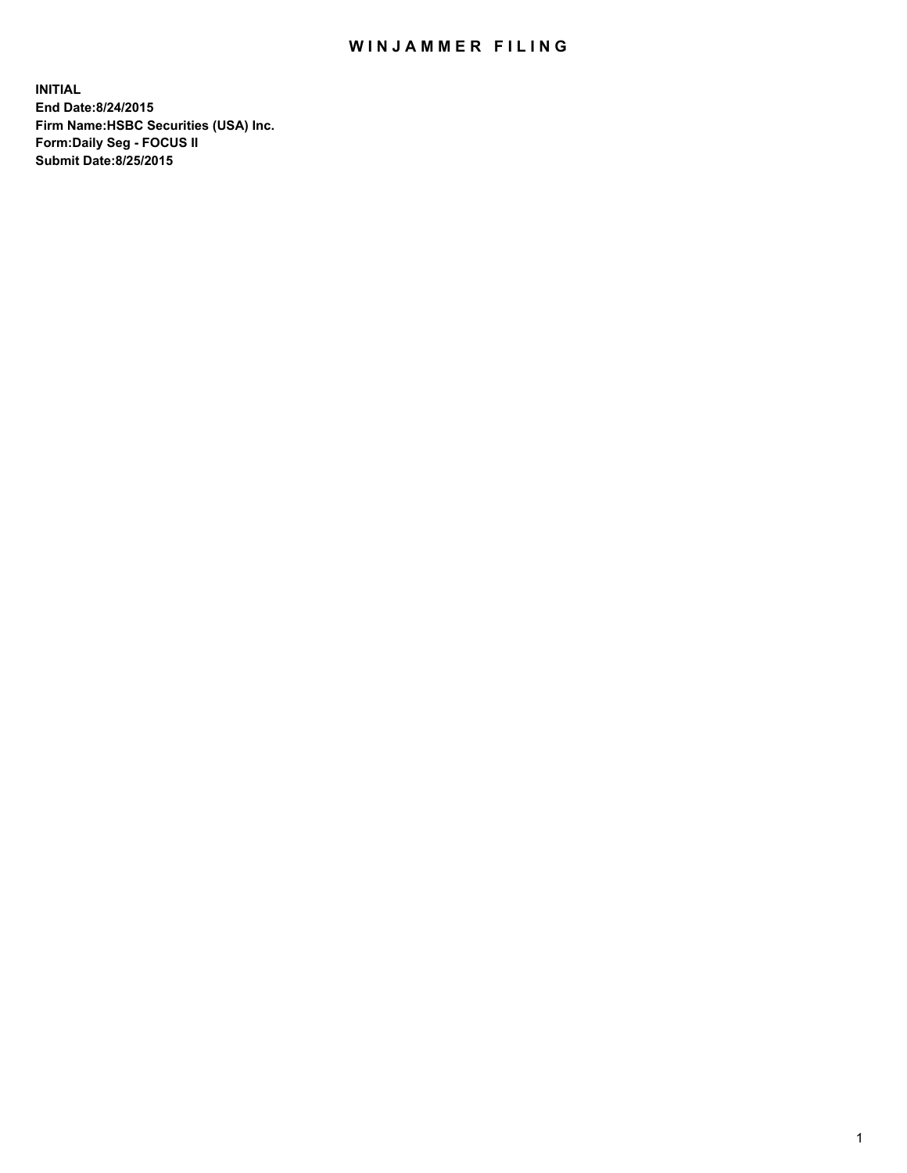## WIN JAMMER FILING

**INITIAL End Date:8/24/2015 Firm Name:HSBC Securities (USA) Inc. Form:Daily Seg - FOCUS II Submit Date:8/25/2015**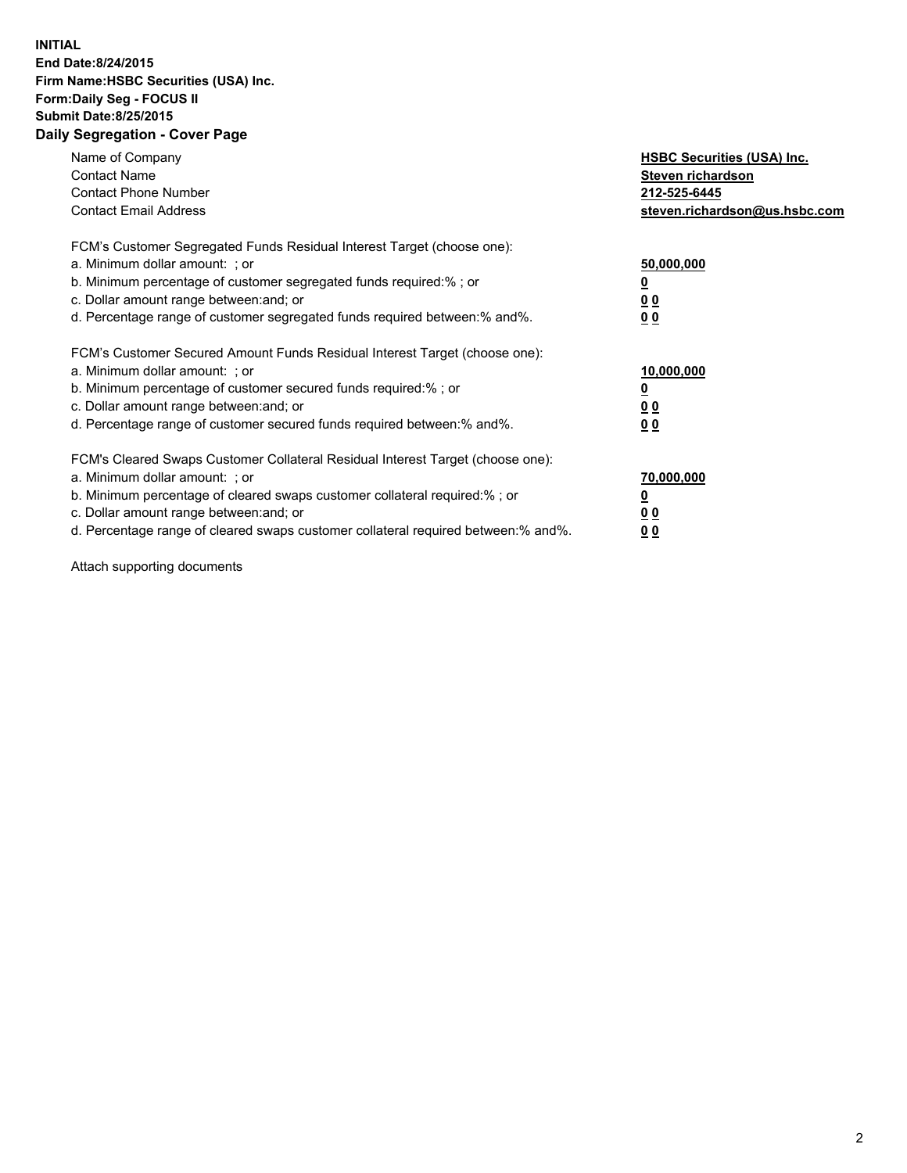## **INITIAL End Date:8/24/2015 Firm Name:HSBC Securities (USA) Inc. Form:Daily Seg - FOCUS II Submit Date:8/25/2015 Daily Segregation - Cover Page**

| Name of Company<br><b>Contact Name</b><br><b>Contact Phone Number</b><br><b>Contact Email Address</b>                                                                                                                                                                                                                          | <b>HSBC Securities (USA) Inc.</b><br>Steven richardson<br>212-525-6445<br>steven.richardson@us.hsbc.com |
|--------------------------------------------------------------------------------------------------------------------------------------------------------------------------------------------------------------------------------------------------------------------------------------------------------------------------------|---------------------------------------------------------------------------------------------------------|
| FCM's Customer Segregated Funds Residual Interest Target (choose one):<br>a. Minimum dollar amount: ; or<br>b. Minimum percentage of customer segregated funds required:%; or<br>c. Dollar amount range between: and; or<br>d. Percentage range of customer segregated funds required between: % and %.                        | 50,000,000<br>0 <sub>0</sub><br>0 <sub>0</sub>                                                          |
| FCM's Customer Secured Amount Funds Residual Interest Target (choose one):<br>a. Minimum dollar amount: ; or<br>b. Minimum percentage of customer secured funds required:%; or<br>c. Dollar amount range between: and; or<br>d. Percentage range of customer secured funds required between:% and%.                            | 10,000,000<br><u>0</u><br>0 <sub>0</sub><br>0 <sub>0</sub>                                              |
| FCM's Cleared Swaps Customer Collateral Residual Interest Target (choose one):<br>a. Minimum dollar amount: ; or<br>b. Minimum percentage of cleared swaps customer collateral required:% ; or<br>c. Dollar amount range between: and; or<br>d. Percentage range of cleared swaps customer collateral required between:% and%. | 70,000,000<br>00<br><u>00</u>                                                                           |

Attach supporting documents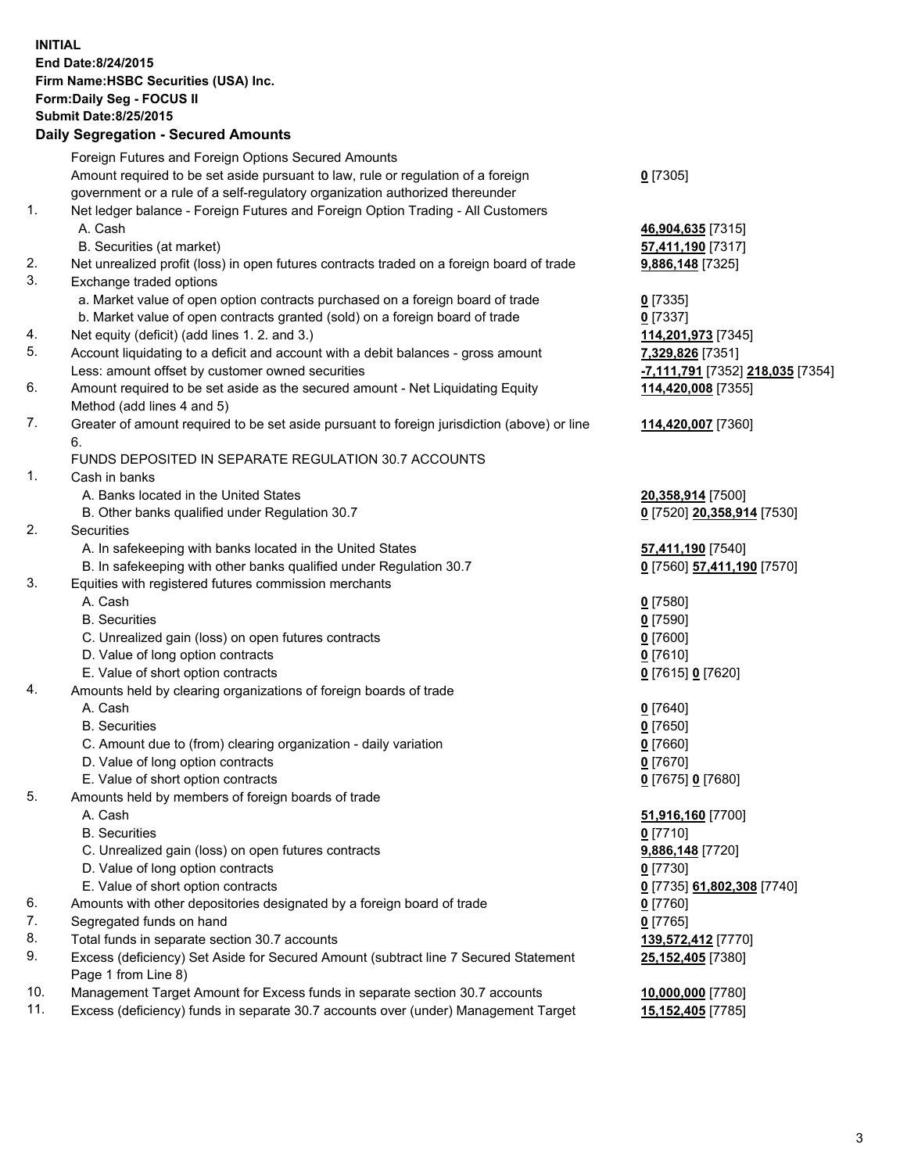**INITIAL End Date:8/24/2015 Firm Name:HSBC Securities (USA) Inc. Form:Daily Seg - FOCUS II Submit Date:8/25/2015 Daily Segregation - Secured Amounts**

Foreign Futures and Foreign Options Secured Amounts Amount required to be set aside pursuant to law, rule or regulation of a foreign government or a rule of a self-regulatory organization authorized thereunder **0** [7305] 1. Net ledger balance - Foreign Futures and Foreign Option Trading - All Customers A. Cash **46,904,635** [7315] B. Securities (at market) **57,411,190** [7317] 2. Net unrealized profit (loss) in open futures contracts traded on a foreign board of trade **9,886,148** [7325] 3. Exchange traded options a. Market value of open option contracts purchased on a foreign board of trade **0** [7335] b. Market value of open contracts granted (sold) on a foreign board of trade **0** [7337] 4. Net equity (deficit) (add lines 1. 2. and 3.) **114,201,973** [7345] 5. Account liquidating to a deficit and account with a debit balances - gross amount **7,329,826** [7351] Less: amount offset by customer owned securities **-7,111,791** [7352] **218,035** [7354] 6. Amount required to be set aside as the secured amount - Net Liquidating Equity Method (add lines 4 and 5) **114,420,008** [7355] 7. Greater of amount required to be set aside pursuant to foreign jurisdiction (above) or line 6. **114,420,007** [7360] FUNDS DEPOSITED IN SEPARATE REGULATION 30.7 ACCOUNTS 1. Cash in banks A. Banks located in the United States **20,358,914** [7500] B. Other banks qualified under Regulation 30.7 **0** [7520] **20,358,914** [7530] 2. Securities A. In safekeeping with banks located in the United States **57,411,190** [7540] B. In safekeeping with other banks qualified under Regulation 30.7 **0** [7560] **57,411,190** [7570] 3. Equities with registered futures commission merchants A. Cash **0** [7580] B. Securities **0** [7590] C. Unrealized gain (loss) on open futures contracts **0** [7600] D. Value of long option contracts **0** [7610] E. Value of short option contracts **0** [7615] **0** [7620] 4. Amounts held by clearing organizations of foreign boards of trade A. Cash **0** [7640] B. Securities **0** [7650] C. Amount due to (from) clearing organization - daily variation **0** [7660] D. Value of long option contracts **0** [7670] E. Value of short option contracts **0** [7675] **0** [7680] 5. Amounts held by members of foreign boards of trade A. Cash **51,916,160** [7700] B. Securities **0** [7710] C. Unrealized gain (loss) on open futures contracts **9,886,148** [7720] D. Value of long option contracts **0** [7730] E. Value of short option contracts **0** [7735] **61,802,308** [7740] 6. Amounts with other depositories designated by a foreign board of trade **0** [7760] 7. Segregated funds on hand **0** [7765] 8. Total funds in separate section 30.7 accounts **139,572,412** [7770] 9. Excess (deficiency) Set Aside for Secured Amount (subtract line 7 Secured Statement Page 1 from Line 8) **25,152,405** [7380] 10. Management Target Amount for Excess funds in separate section 30.7 accounts **10,000,000** [7780] 11. Excess (deficiency) funds in separate 30.7 accounts over (under) Management Target **15,152,405** [7785]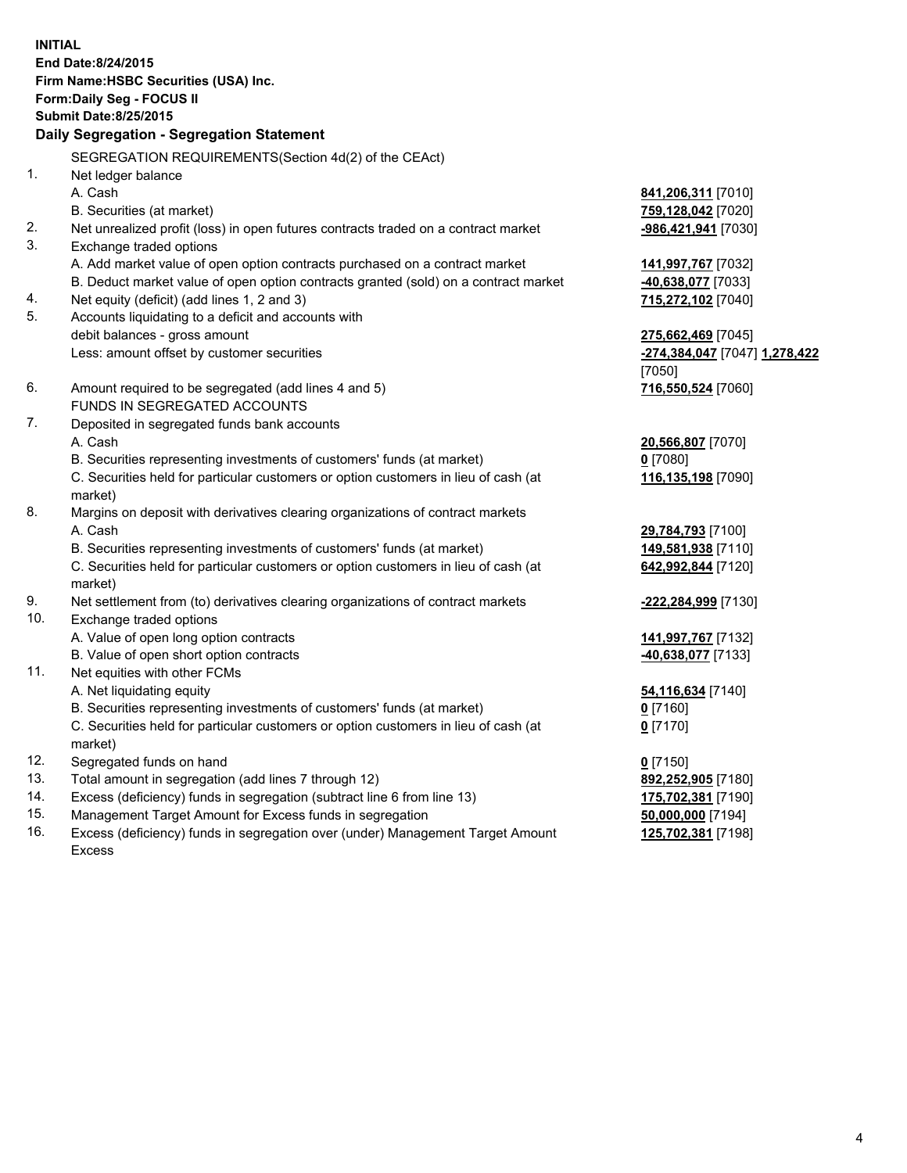**INITIAL End Date:8/24/2015 Firm Name:HSBC Securities (USA) Inc. Form:Daily Seg - FOCUS II Submit Date:8/25/2015 Daily Segregation - Segregation Statement** SEGREGATION REQUIREMENTS(Section 4d(2) of the CEAct) 1. Net ledger balance A. Cash **841,206,311** [7010] B. Securities (at market) **759,128,042** [7020] 2. Net unrealized profit (loss) in open futures contracts traded on a contract market **-986,421,941** [7030] 3. Exchange traded options A. Add market value of open option contracts purchased on a contract market **141,997,767** [7032] B. Deduct market value of open option contracts granted (sold) on a contract market **-40,638,077** [7033] 4. Net equity (deficit) (add lines 1, 2 and 3) **715,272,102** [7040] 5. Accounts liquidating to a deficit and accounts with debit balances - gross amount **275,662,469** [7045] Less: amount offset by customer securities **-274,384,047** [7047] **1,278,422** [7050] 6. Amount required to be segregated (add lines 4 and 5) **716,550,524** [7060] FUNDS IN SEGREGATED ACCOUNTS 7. Deposited in segregated funds bank accounts A. Cash **20,566,807** [7070] B. Securities representing investments of customers' funds (at market) **0** [7080] C. Securities held for particular customers or option customers in lieu of cash (at market) **116,135,198** [7090] 8. Margins on deposit with derivatives clearing organizations of contract markets A. Cash **29,784,793** [7100] B. Securities representing investments of customers' funds (at market) **149,581,938** [7110] C. Securities held for particular customers or option customers in lieu of cash (at market) **642,992,844** [7120] 9. Net settlement from (to) derivatives clearing organizations of contract markets **-222,284,999** [7130] 10. Exchange traded options A. Value of open long option contracts **141,997,767** [7132] B. Value of open short option contracts **-40,638,077** [7133] 11. Net equities with other FCMs A. Net liquidating equity **54,116,634** [7140] B. Securities representing investments of customers' funds (at market) **0** [7160] C. Securities held for particular customers or option customers in lieu of cash (at market) **0** [7170] 12. Segregated funds on hand **0** [7150] 13. Total amount in segregation (add lines 7 through 12) **892,252,905** [7180] 14. Excess (deficiency) funds in segregation (subtract line 6 from line 13) **175,702,381** [7190] 15. Management Target Amount for Excess funds in segregation **50,000,000** [7194] **125,702,381** [7198]

16. Excess (deficiency) funds in segregation over (under) Management Target Amount Excess